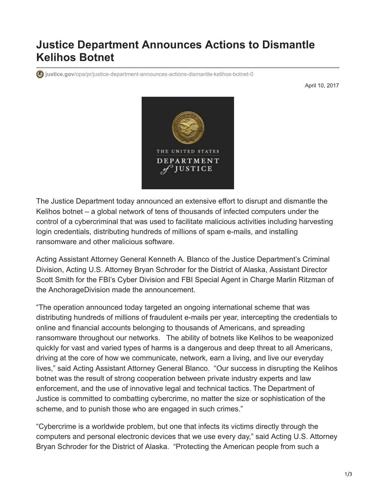## **Justice Department Announces Actions to Dismantle Kelihos Botnet**

**justice.gov**[/opa/pr/justice-department-announces-actions-dismantle-kelihos-botnet-0](https://www.justice.gov/opa/pr/justice-department-announces-actions-dismantle-kelihos-botnet-0)

April 10, 2017



The Justice Department today announced an extensive effort to disrupt and dismantle the Kelihos botnet – a global network of tens of thousands of infected computers under the control of a cybercriminal that was used to facilitate malicious activities including harvesting login credentials, distributing hundreds of millions of spam e-mails, and installing ransomware and other malicious software.

Acting Assistant Attorney General Kenneth A. Blanco of the Justice Department's Criminal Division, Acting U.S. Attorney Bryan Schroder for the District of Alaska, Assistant Director Scott Smith for the FBI's Cyber Division and FBI Special Agent in Charge Marlin Ritzman of the AnchorageDivision made the announcement.

"The operation announced today targeted an ongoing international scheme that was distributing hundreds of millions of fraudulent e-mails per year, intercepting the credentials to online and financial accounts belonging to thousands of Americans, and spreading ransomware throughout our networks. The ability of botnets like Kelihos to be weaponized quickly for vast and varied types of harms is a dangerous and deep threat to all Americans, driving at the core of how we communicate, network, earn a living, and live our everyday lives," said Acting Assistant Attorney General Blanco. "Our success in disrupting the Kelihos botnet was the result of strong cooperation between private industry experts and law enforcement, and the use of innovative legal and technical tactics. The Department of Justice is committed to combatting cybercrime, no matter the size or sophistication of the scheme, and to punish those who are engaged in such crimes."

"Cybercrime is a worldwide problem, but one that infects its victims directly through the computers and personal electronic devices that we use every day," said Acting U.S. Attorney Bryan Schroder for the District of Alaska. "Protecting the American people from such a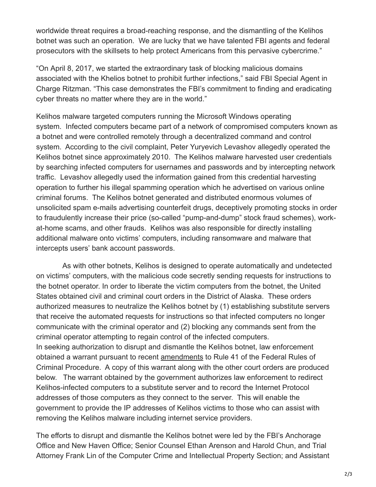worldwide threat requires a broad-reaching response, and the dismantling of the Kelihos botnet was such an operation. We are lucky that we have talented FBI agents and federal prosecutors with the skillsets to help protect Americans from this pervasive cybercrime."

"On April 8, 2017, we started the extraordinary task of blocking malicious domains associated with the Khelios botnet to prohibit further infections," said FBI Special Agent in Charge Ritzman. "This case demonstrates the FBI's commitment to finding and eradicating cyber threats no matter where they are in the world."

Kelihos malware targeted computers running the Microsoft Windows operating system. Infected computers became part of a network of compromised computers known as a botnet and were controlled remotely through a decentralized command and control system. According to the civil complaint, Peter Yuryevich Levashov allegedly operated the Kelihos botnet since approximately 2010. The Kelihos malware harvested user credentials by searching infected computers for usernames and passwords and by intercepting network traffic. Levashov allegedly used the information gained from this credential harvesting operation to further his illegal spamming operation which he advertised on various online criminal forums. The Kelihos botnet generated and distributed enormous volumes of unsolicited spam e-mails advertising counterfeit drugs, deceptively promoting stocks in order to fraudulently increase their price (so-called "pump-and-dump" stock fraud schemes), workat-home scams, and other frauds. Kelihos was also responsible for directly installing additional malware onto victims' computers, including ransomware and malware that intercepts users' bank account passwords.

 As with other botnets, Kelihos is designed to operate automatically and undetected on victims' computers, with the malicious code secretly sending requests for instructions to the botnet operator. In order to liberate the victim computers from the botnet, the United States obtained civil and criminal court orders in the District of Alaska. These orders authorized measures to neutralize the Kelihos botnet by (1) establishing substitute servers that receive the automated requests for instructions so that infected computers no longer communicate with the criminal operator and (2) blocking any commands sent from the criminal operator attempting to regain control of the infected computers. In seeking authorization to disrupt and dismantle the Kelihos botnet, law enforcement obtained a warrant pursuant to recent [amendments](https://www.justice.gov/archives/opa/blog/rule-41-changes-ensure-judge-may-consider-warrants-certain-remote-searches) to Rule 41 of the Federal Rules of Criminal Procedure. A copy of this warrant along with the other court orders are produced below. The warrant obtained by the government authorizes law enforcement to redirect Kelihos-infected computers to a substitute server and to record the Internet Protocol addresses of those computers as they connect to the server. This will enable the government to provide the IP addresses of Kelihos victims to those who can assist with removing the Kelihos malware including internet service providers.

The efforts to disrupt and dismantle the Kelihos botnet were led by the FBI's Anchorage Office and New Haven Office; Senior Counsel Ethan Arenson and Harold Chun, and Trial Attorney Frank Lin of the Computer Crime and Intellectual Property Section; and Assistant